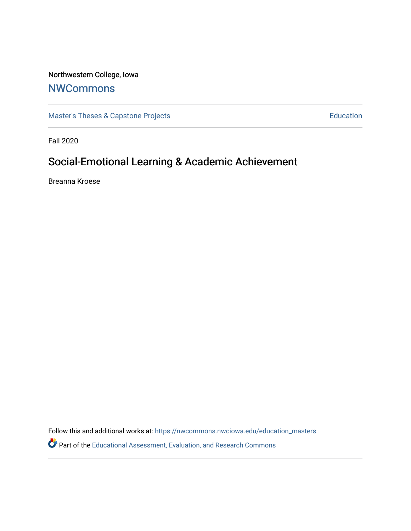# Northwestern College, Iowa

# **[NWCommons](https://nwcommons.nwciowa.edu/)**

[Master's Theses & Capstone Projects](https://nwcommons.nwciowa.edu/education_masters) **Education** Education

Fall 2020

# Social-Emotional Learning & Academic Achievement

Breanna Kroese

Follow this and additional works at: [https://nwcommons.nwciowa.edu/education\\_masters](https://nwcommons.nwciowa.edu/education_masters?utm_source=nwcommons.nwciowa.edu%2Feducation_masters%2F269&utm_medium=PDF&utm_campaign=PDFCoverPages)

Part of the [Educational Assessment, Evaluation, and Research Commons](http://network.bepress.com/hgg/discipline/796?utm_source=nwcommons.nwciowa.edu%2Feducation_masters%2F269&utm_medium=PDF&utm_campaign=PDFCoverPages)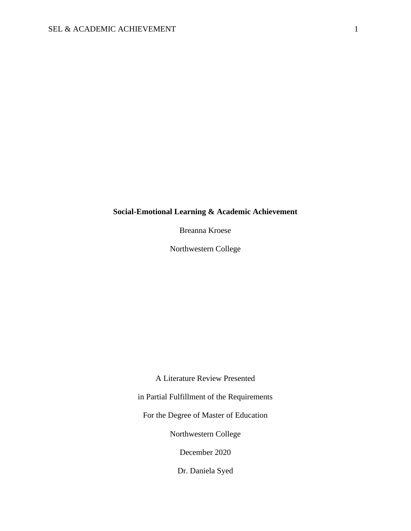# **Social-Emotional Learning & Academic Achievement**

Breanna Kroese

Northwestern College

A Literature Review Presented

in Partial Fulfillment of the Requirements

For the Degree of Master of Education

Northwestern College

December 2020

Dr. Daniela Syed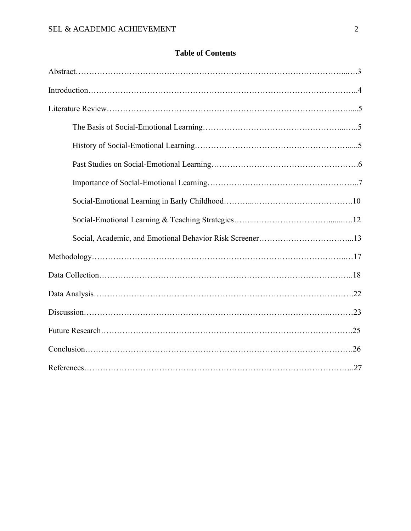# **Table of Contents**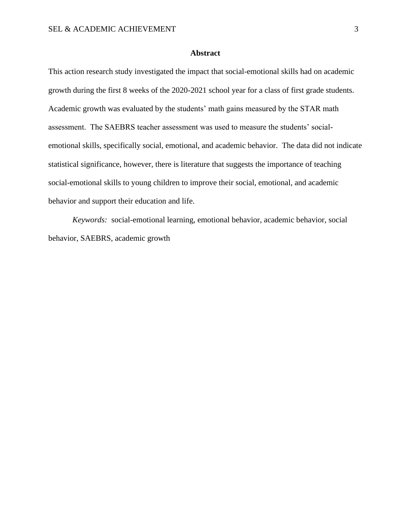# **Abstract**

This action research study investigated the impact that social-emotional skills had on academic growth during the first 8 weeks of the 2020-2021 school year for a class of first grade students. Academic growth was evaluated by the students' math gains measured by the STAR math assessment. The SAEBRS teacher assessment was used to measure the students' socialemotional skills, specifically social, emotional, and academic behavior. The data did not indicate statistical significance, however, there is literature that suggests the importance of teaching social-emotional skills to young children to improve their social, emotional, and academic behavior and support their education and life.

*Keywords:* social-emotional learning, emotional behavior, academic behavior, social behavior, SAEBRS, academic growth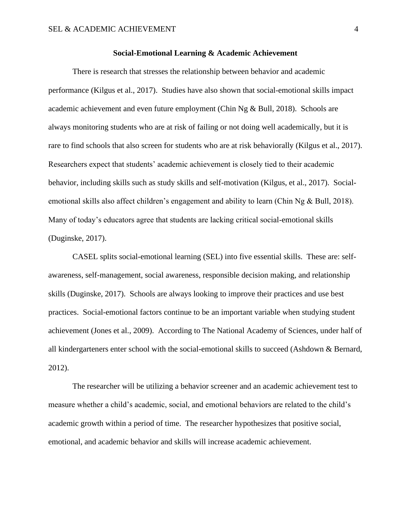#### **Social-Emotional Learning & Academic Achievement**

There is research that stresses the relationship between behavior and academic performance (Kilgus et al., 2017). Studies have also shown that social-emotional skills impact academic achievement and even future employment (Chin Ng & Bull, 2018). Schools are always monitoring students who are at risk of failing or not doing well academically, but it is rare to find schools that also screen for students who are at risk behaviorally (Kilgus et al., 2017). Researchers expect that students' academic achievement is closely tied to their academic behavior, including skills such as study skills and self-motivation (Kilgus, et al., 2017). Socialemotional skills also affect children's engagement and ability to learn (Chin Ng & Bull, 2018). Many of today's educators agree that students are lacking critical social-emotional skills (Duginske, 2017).

CASEL splits social-emotional learning (SEL) into five essential skills. These are: selfawareness, self-management, social awareness, responsible decision making, and relationship skills (Duginske, 2017). Schools are always looking to improve their practices and use best practices. Social-emotional factors continue to be an important variable when studying student achievement (Jones et al., 2009). According to The National Academy of Sciences, under half of all kindergarteners enter school with the social-emotional skills to succeed (Ashdown & Bernard, 2012).

The researcher will be utilizing a behavior screener and an academic achievement test to measure whether a child's academic, social, and emotional behaviors are related to the child's academic growth within a period of time. The researcher hypothesizes that positive social, emotional, and academic behavior and skills will increase academic achievement.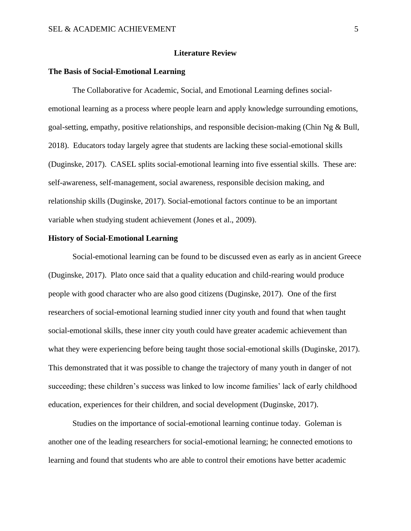# **Literature Review**

# **The Basis of Social-Emotional Learning**

The Collaborative for Academic, Social, and Emotional Learning defines socialemotional learning as a process where people learn and apply knowledge surrounding emotions, goal-setting, empathy, positive relationships, and responsible decision-making (Chin Ng & Bull, 2018). Educators today largely agree that students are lacking these social-emotional skills (Duginske, 2017). CASEL splits social-emotional learning into five essential skills. These are: self-awareness, self-management, social awareness, responsible decision making, and relationship skills (Duginske, 2017). Social-emotional factors continue to be an important variable when studying student achievement (Jones et al., 2009).

### **History of Social-Emotional Learning**

Social-emotional learning can be found to be discussed even as early as in ancient Greece (Duginske, 2017). Plato once said that a quality education and child-rearing would produce people with good character who are also good citizens (Duginske, 2017). One of the first researchers of social-emotional learning studied inner city youth and found that when taught social-emotional skills, these inner city youth could have greater academic achievement than what they were experiencing before being taught those social-emotional skills (Duginske, 2017). This demonstrated that it was possible to change the trajectory of many youth in danger of not succeeding; these children's success was linked to low income families' lack of early childhood education, experiences for their children, and social development (Duginske, 2017).

Studies on the importance of social-emotional learning continue today. Goleman is another one of the leading researchers for social-emotional learning; he connected emotions to learning and found that students who are able to control their emotions have better academic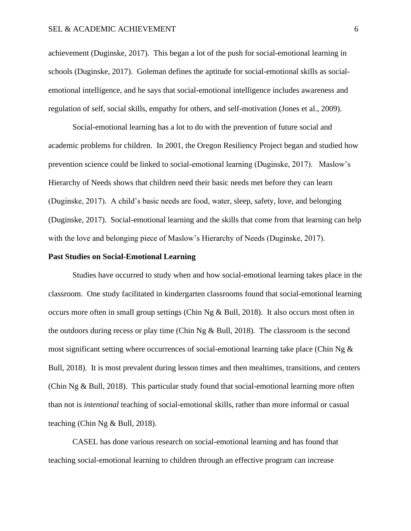achievement (Duginske, 2017). This began a lot of the push for social-emotional learning in schools (Duginske, 2017). Goleman defines the aptitude for social-emotional skills as socialemotional intelligence, and he says that social-emotional intelligence includes awareness and regulation of self, social skills, empathy for others, and self-motivation (Jones et al., 2009).

Social-emotional learning has a lot to do with the prevention of future social and academic problems for children. In 2001, the Oregon Resiliency Project began and studied how prevention science could be linked to social-emotional learning (Duginske, 2017). Maslow's Hierarchy of Needs shows that children need their basic needs met before they can learn (Duginske, 2017). A child's basic needs are food, water, sleep, safety, love, and belonging (Duginske, 2017). Social-emotional learning and the skills that come from that learning can help with the love and belonging piece of Maslow's Hierarchy of Needs (Duginske, 2017).

# **Past Studies on Social-Emotional Learning**

Studies have occurred to study when and how social-emotional learning takes place in the classroom. One study facilitated in kindergarten classrooms found that social-emotional learning occurs more often in small group settings (Chin Ng & Bull, 2018). It also occurs most often in the outdoors during recess or play time (Chin Ng  $\&$  Bull, 2018). The classroom is the second most significant setting where occurrences of social-emotional learning take place (Chin Ng  $\&$ Bull, 2018). It is most prevalent during lesson times and then mealtimes, transitions, and centers (Chin Ng & Bull, 2018). This particular study found that social-emotional learning more often than not is *intentional* teaching of social-emotional skills, rather than more informal or casual teaching (Chin Ng & Bull, 2018).

CASEL has done various research on social-emotional learning and has found that teaching social-emotional learning to children through an effective program can increase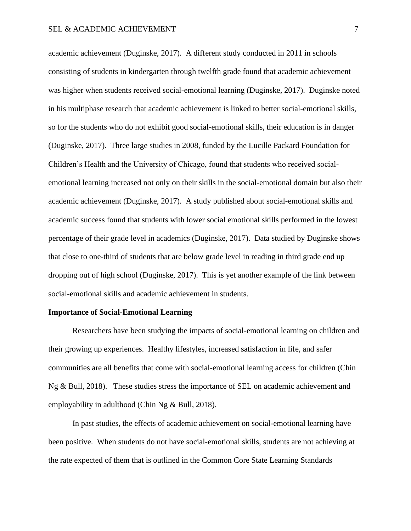academic achievement (Duginske, 2017). A different study conducted in 2011 in schools consisting of students in kindergarten through twelfth grade found that academic achievement was higher when students received social-emotional learning (Duginske, 2017). Duginske noted in his multiphase research that academic achievement is linked to better social-emotional skills, so for the students who do not exhibit good social-emotional skills, their education is in danger (Duginske, 2017). Three large studies in 2008, funded by the Lucille Packard Foundation for Children's Health and the University of Chicago, found that students who received socialemotional learning increased not only on their skills in the social-emotional domain but also their academic achievement (Duginske, 2017). A study published about social-emotional skills and academic success found that students with lower social emotional skills performed in the lowest percentage of their grade level in academics (Duginske, 2017). Data studied by Duginske shows that close to one-third of students that are below grade level in reading in third grade end up dropping out of high school (Duginske, 2017). This is yet another example of the link between social-emotional skills and academic achievement in students.

# **Importance of Social-Emotional Learning**

Researchers have been studying the impacts of social-emotional learning on children and their growing up experiences. Healthy lifestyles, increased satisfaction in life, and safer communities are all benefits that come with social-emotional learning access for children (Chin Ng & Bull, 2018). These studies stress the importance of SEL on academic achievement and employability in adulthood (Chin Ng & Bull, 2018).

In past studies, the effects of academic achievement on social-emotional learning have been positive. When students do not have social-emotional skills, students are not achieving at the rate expected of them that is outlined in the Common Core State Learning Standards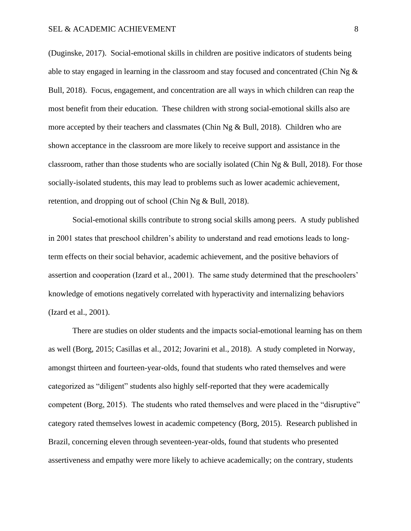(Duginske, 2017). Social-emotional skills in children are positive indicators of students being able to stay engaged in learning in the classroom and stay focused and concentrated (Chin Ng  $\&$ Bull, 2018). Focus, engagement, and concentration are all ways in which children can reap the most benefit from their education. These children with strong social-emotional skills also are more accepted by their teachers and classmates (Chin Ng & Bull, 2018). Children who are shown acceptance in the classroom are more likely to receive support and assistance in the classroom, rather than those students who are socially isolated (Chin Ng & Bull, 2018). For those socially-isolated students, this may lead to problems such as lower academic achievement, retention, and dropping out of school (Chin Ng & Bull, 2018).

Social-emotional skills contribute to strong social skills among peers. A study published in 2001 states that preschool children's ability to understand and read emotions leads to longterm effects on their social behavior, academic achievement, and the positive behaviors of assertion and cooperation (Izard et al., 2001). The same study determined that the preschoolers' knowledge of emotions negatively correlated with hyperactivity and internalizing behaviors (Izard et al., 2001).

There are studies on older students and the impacts social-emotional learning has on them as well (Borg, 2015; Casillas et al., 2012; Jovarini et al., 2018). A study completed in Norway, amongst thirteen and fourteen-year-olds, found that students who rated themselves and were categorized as "diligent" students also highly self-reported that they were academically competent (Borg, 2015). The students who rated themselves and were placed in the "disruptive" category rated themselves lowest in academic competency (Borg, 2015). Research published in Brazil, concerning eleven through seventeen-year-olds, found that students who presented assertiveness and empathy were more likely to achieve academically; on the contrary, students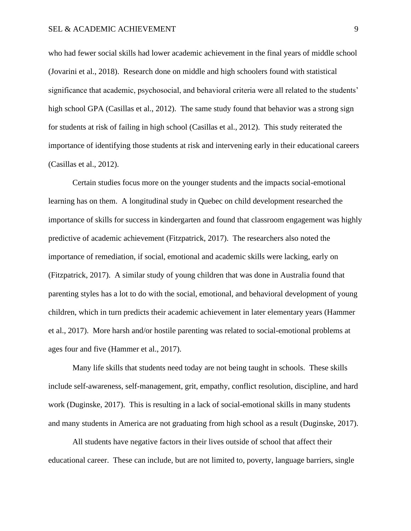who had fewer social skills had lower academic achievement in the final years of middle school (Jovarini et al., 2018). Research done on middle and high schoolers found with statistical significance that academic, psychosocial, and behavioral criteria were all related to the students' high school GPA (Casillas et al., 2012). The same study found that behavior was a strong sign for students at risk of failing in high school (Casillas et al., 2012). This study reiterated the importance of identifying those students at risk and intervening early in their educational careers (Casillas et al., 2012).

Certain studies focus more on the younger students and the impacts social-emotional learning has on them. A longitudinal study in Quebec on child development researched the importance of skills for success in kindergarten and found that classroom engagement was highly predictive of academic achievement (Fitzpatrick, 2017). The researchers also noted the importance of remediation, if social, emotional and academic skills were lacking, early on (Fitzpatrick, 2017). A similar study of young children that was done in Australia found that parenting styles has a lot to do with the social, emotional, and behavioral development of young children, which in turn predicts their academic achievement in later elementary years (Hammer et al., 2017). More harsh and/or hostile parenting was related to social-emotional problems at ages four and five (Hammer et al., 2017).

Many life skills that students need today are not being taught in schools. These skills include self-awareness, self-management, grit, empathy, conflict resolution, discipline, and hard work (Duginske, 2017). This is resulting in a lack of social-emotional skills in many students and many students in America are not graduating from high school as a result (Duginske, 2017).

All students have negative factors in their lives outside of school that affect their educational career. These can include, but are not limited to, poverty, language barriers, single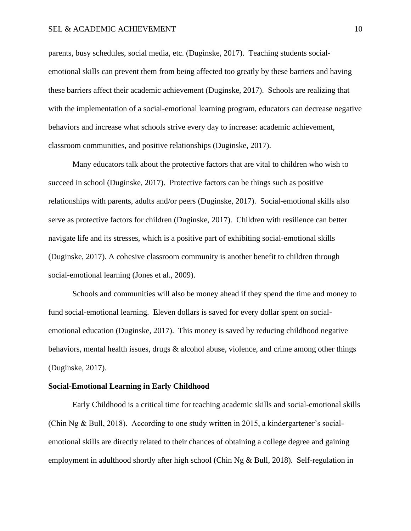parents, busy schedules, social media, etc. (Duginske, 2017). Teaching students socialemotional skills can prevent them from being affected too greatly by these barriers and having these barriers affect their academic achievement (Duginske, 2017). Schools are realizing that with the implementation of a social-emotional learning program, educators can decrease negative behaviors and increase what schools strive every day to increase: academic achievement, classroom communities, and positive relationships (Duginske, 2017).

Many educators talk about the protective factors that are vital to children who wish to succeed in school (Duginske, 2017). Protective factors can be things such as positive relationships with parents, adults and/or peers (Duginske, 2017). Social-emotional skills also serve as protective factors for children (Duginske, 2017). Children with resilience can better navigate life and its stresses, which is a positive part of exhibiting social-emotional skills (Duginske, 2017). A cohesive classroom community is another benefit to children through social-emotional learning (Jones et al., 2009).

Schools and communities will also be money ahead if they spend the time and money to fund social-emotional learning. Eleven dollars is saved for every dollar spent on socialemotional education (Duginske, 2017). This money is saved by reducing childhood negative behaviors, mental health issues, drugs  $\&$  alcohol abuse, violence, and crime among other things (Duginske, 2017).

# **Social-Emotional Learning in Early Childhood**

Early Childhood is a critical time for teaching academic skills and social-emotional skills (Chin Ng & Bull, 2018). According to one study written in 2015, a kindergartener's socialemotional skills are directly related to their chances of obtaining a college degree and gaining employment in adulthood shortly after high school (Chin Ng & Bull, 2018). Self-regulation in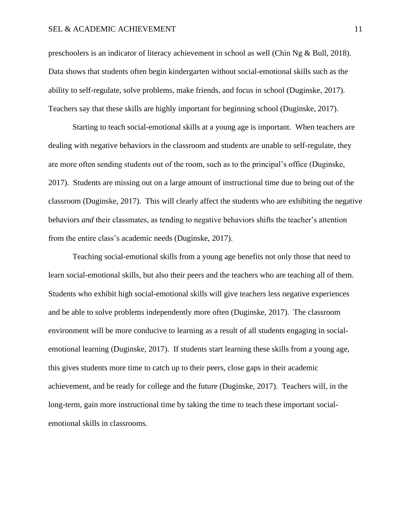# SEL & ACADEMIC ACHIEVEMENT 11

preschoolers is an indicator of literacy achievement in school as well (Chin Ng & Bull, 2018). Data shows that students often begin kindergarten without social-emotional skills such as the ability to self-regulate, solve problems, make friends, and focus in school (Duginske, 2017). Teachers say that these skills are highly important for beginning school (Duginske, 2017).

Starting to teach social-emotional skills at a young age is important. When teachers are dealing with negative behaviors in the classroom and students are unable to self-regulate, they are more often sending students out of the room, such as to the principal's office (Duginske, 2017). Students are missing out on a large amount of instructional time due to being out of the classroom (Duginske, 2017). This will clearly affect the students who are exhibiting the negative behaviors *and* their classmates, as tending to negative behaviors shifts the teacher's attention from the entire class's academic needs (Duginske, 2017).

Teaching social-emotional skills from a young age benefits not only those that need to learn social-emotional skills, but also their peers and the teachers who are teaching all of them. Students who exhibit high social-emotional skills will give teachers less negative experiences and be able to solve problems independently more often (Duginske, 2017). The classroom environment will be more conducive to learning as a result of all students engaging in socialemotional learning (Duginske, 2017). If students start learning these skills from a young age, this gives students more time to catch up to their peers, close gaps in their academic achievement, and be ready for college and the future (Duginske, 2017). Teachers will, in the long-term, gain more instructional time by taking the time to teach these important socialemotional skills in classrooms.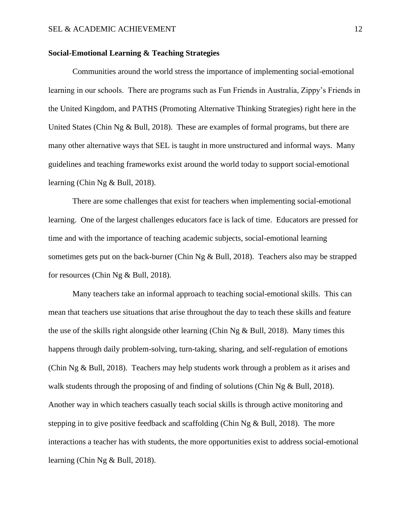# **Social-Emotional Learning & Teaching Strategies**

Communities around the world stress the importance of implementing social-emotional learning in our schools. There are programs such as Fun Friends in Australia, Zippy's Friends in the United Kingdom, and PATHS (Promoting Alternative Thinking Strategies) right here in the United States (Chin Ng & Bull, 2018). These are examples of formal programs, but there are many other alternative ways that SEL is taught in more unstructured and informal ways. Many guidelines and teaching frameworks exist around the world today to support social-emotional learning (Chin Ng & Bull, 2018).

There are some challenges that exist for teachers when implementing social-emotional learning. One of the largest challenges educators face is lack of time. Educators are pressed for time and with the importance of teaching academic subjects, social-emotional learning sometimes gets put on the back-burner (Chin Ng & Bull, 2018). Teachers also may be strapped for resources (Chin Ng & Bull, 2018).

Many teachers take an informal approach to teaching social-emotional skills. This can mean that teachers use situations that arise throughout the day to teach these skills and feature the use of the skills right alongside other learning (Chin Ng & Bull, 2018). Many times this happens through daily problem-solving, turn-taking, sharing, and self-regulation of emotions (Chin Ng & Bull, 2018). Teachers may help students work through a problem as it arises and walk students through the proposing of and finding of solutions (Chin Ng & Bull, 2018). Another way in which teachers casually teach social skills is through active monitoring and stepping in to give positive feedback and scaffolding (Chin  $Ng & Bull$ , 2018). The more interactions a teacher has with students, the more opportunities exist to address social-emotional learning (Chin Ng & Bull, 2018).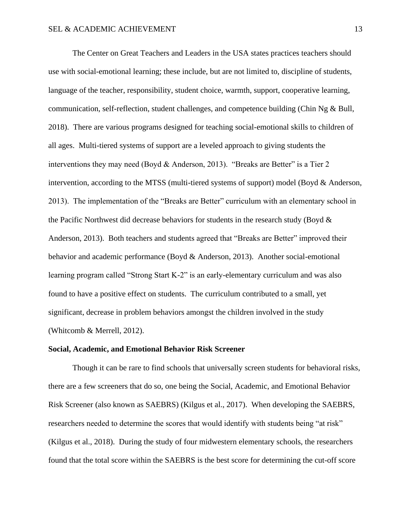The Center on Great Teachers and Leaders in the USA states practices teachers should use with social-emotional learning; these include, but are not limited to, discipline of students, language of the teacher, responsibility, student choice, warmth, support, cooperative learning, communication, self-reflection, student challenges, and competence building (Chin Ng & Bull, 2018). There are various programs designed for teaching social-emotional skills to children of all ages. Multi-tiered systems of support are a leveled approach to giving students the interventions they may need (Boyd & Anderson, 2013). "Breaks are Better" is a Tier 2 intervention, according to the MTSS (multi-tiered systems of support) model (Boyd & Anderson, 2013). The implementation of the "Breaks are Better" curriculum with an elementary school in the Pacific Northwest did decrease behaviors for students in the research study (Boyd  $\&$ Anderson, 2013). Both teachers and students agreed that "Breaks are Better" improved their behavior and academic performance (Boyd & Anderson, 2013). Another social-emotional learning program called "Strong Start K-2" is an early-elementary curriculum and was also found to have a positive effect on students. The curriculum contributed to a small, yet significant, decrease in problem behaviors amongst the children involved in the study (Whitcomb & Merrell, 2012).

# **Social, Academic, and Emotional Behavior Risk Screener**

Though it can be rare to find schools that universally screen students for behavioral risks, there are a few screeners that do so, one being the Social, Academic, and Emotional Behavior Risk Screener (also known as SAEBRS) (Kilgus et al., 2017). When developing the SAEBRS, researchers needed to determine the scores that would identify with students being "at risk" (Kilgus et al., 2018). During the study of four midwestern elementary schools, the researchers found that the total score within the SAEBRS is the best score for determining the cut-off score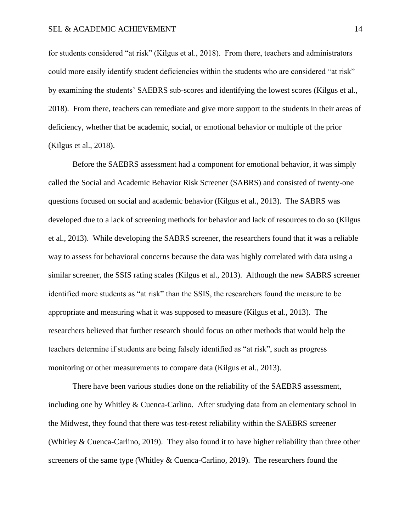for students considered "at risk" (Kilgus et al., 2018). From there, teachers and administrators could more easily identify student deficiencies within the students who are considered "at risk" by examining the students' SAEBRS sub-scores and identifying the lowest scores (Kilgus et al., 2018). From there, teachers can remediate and give more support to the students in their areas of deficiency, whether that be academic, social, or emotional behavior or multiple of the prior (Kilgus et al., 2018).

Before the SAEBRS assessment had a component for emotional behavior, it was simply called the Social and Academic Behavior Risk Screener (SABRS) and consisted of twenty-one questions focused on social and academic behavior (Kilgus et al., 2013). The SABRS was developed due to a lack of screening methods for behavior and lack of resources to do so (Kilgus et al., 2013). While developing the SABRS screener, the researchers found that it was a reliable way to assess for behavioral concerns because the data was highly correlated with data using a similar screener, the SSIS rating scales (Kilgus et al., 2013). Although the new SABRS screener identified more students as "at risk" than the SSIS, the researchers found the measure to be appropriate and measuring what it was supposed to measure (Kilgus et al., 2013). The researchers believed that further research should focus on other methods that would help the teachers determine if students are being falsely identified as "at risk", such as progress monitoring or other measurements to compare data (Kilgus et al., 2013).

There have been various studies done on the reliability of the SAEBRS assessment, including one by Whitley  $&$  Cuenca-Carlino. After studying data from an elementary school in the Midwest, they found that there was test-retest reliability within the SAEBRS screener (Whitley & Cuenca-Carlino, 2019). They also found it to have higher reliability than three other screeners of the same type (Whitley & Cuenca-Carlino, 2019). The researchers found the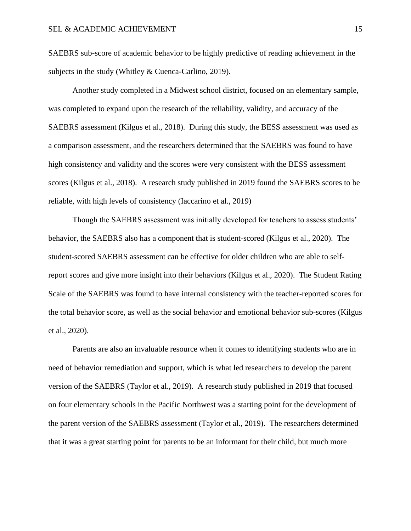SAEBRS sub-score of academic behavior to be highly predictive of reading achievement in the subjects in the study (Whitley & Cuenca-Carlino, 2019).

Another study completed in a Midwest school district, focused on an elementary sample, was completed to expand upon the research of the reliability, validity, and accuracy of the SAEBRS assessment (Kilgus et al., 2018). During this study, the BESS assessment was used as a comparison assessment, and the researchers determined that the SAEBRS was found to have high consistency and validity and the scores were very consistent with the BESS assessment scores (Kilgus et al., 2018). A research study published in 2019 found the SAEBRS scores to be reliable, with high levels of consistency (Iaccarino et al., 2019)

Though the SAEBRS assessment was initially developed for teachers to assess students' behavior, the SAEBRS also has a component that is student-scored (Kilgus et al., 2020). The student-scored SAEBRS assessment can be effective for older children who are able to selfreport scores and give more insight into their behaviors (Kilgus et al., 2020). The Student Rating Scale of the SAEBRS was found to have internal consistency with the teacher-reported scores for the total behavior score, as well as the social behavior and emotional behavior sub-scores (Kilgus et al., 2020).

Parents are also an invaluable resource when it comes to identifying students who are in need of behavior remediation and support, which is what led researchers to develop the parent version of the SAEBRS (Taylor et al., 2019). A research study published in 2019 that focused on four elementary schools in the Pacific Northwest was a starting point for the development of the parent version of the SAEBRS assessment (Taylor et al., 2019). The researchers determined that it was a great starting point for parents to be an informant for their child, but much more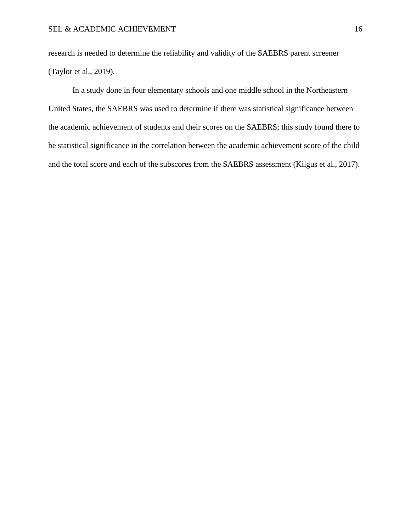research is needed to determine the reliability and validity of the SAEBRS parent screener (Taylor et al., 2019).

In a study done in four elementary schools and one middle school in the Northeastern United States, the SAEBRS was used to determine if there was statistical significance between the academic achievement of students and their scores on the SAEBRS; this study found there to be statistical significance in the correlation between the academic achievement score of the child and the total score and each of the subscores from the SAEBRS assessment (Kilgus et al., 2017).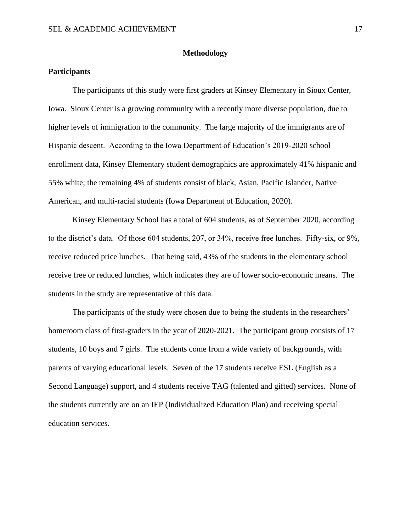# **Methodology**

# **Participants**

The participants of this study were first graders at Kinsey Elementary in Sioux Center, Iowa. Sioux Center is a growing community with a recently more diverse population, due to higher levels of immigration to the community. The large majority of the immigrants are of Hispanic descent. According to the Iowa Department of Education's 2019-2020 school enrollment data, Kinsey Elementary student demographics are approximately 41% hispanic and 55% white; the remaining 4% of students consist of black, Asian, Pacific Islander, Native American, and multi-racial students (Iowa Department of Education, 2020).

Kinsey Elementary School has a total of 604 students, as of September 2020, according to the district's data. Of those 604 students, 207, or 34%, receive free lunches. Fifty-six, or 9%, receive reduced price lunches. That being said, 43% of the students in the elementary school receive free or reduced lunches, which indicates they are of lower socio-economic means. The students in the study are representative of this data.

The participants of the study were chosen due to being the students in the researchers' homeroom class of first-graders in the year of 2020-2021. The participant group consists of 17 students, 10 boys and 7 girls. The students come from a wide variety of backgrounds, with parents of varying educational levels. Seven of the 17 students receive ESL (English as a Second Language) support, and 4 students receive TAG (talented and gifted) services. None of the students currently are on an IEP (Individualized Education Plan) and receiving special education services.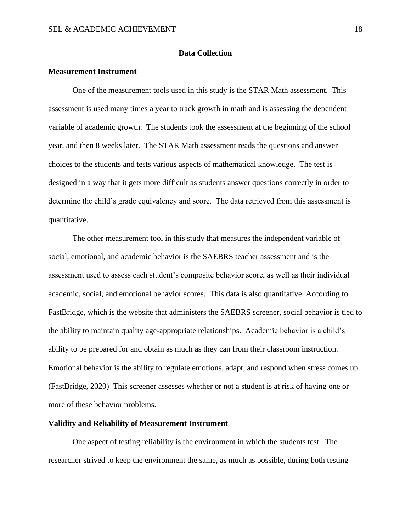# **Data Collection**

# **Measurement Instrument**

One of the measurement tools used in this study is the STAR Math assessment. This assessment is used many times a year to track growth in math and is assessing the dependent variable of academic growth. The students took the assessment at the beginning of the school year, and then 8 weeks later. The STAR Math assessment reads the questions and answer choices to the students and tests various aspects of mathematical knowledge. The test is designed in a way that it gets more difficult as students answer questions correctly in order to determine the child's grade equivalency and score. The data retrieved from this assessment is quantitative.

The other measurement tool in this study that measures the independent variable of social, emotional, and academic behavior is the SAEBRS teacher assessment and is the assessment used to assess each student's composite behavior score, as well as their individual academic, social, and emotional behavior scores. This data is also quantitative. According to FastBridge, which is the website that administers the SAEBRS screener, social behavior is tied to the ability to maintain quality age-appropriate relationships. Academic behavior is a child's ability to be prepared for and obtain as much as they can from their classroom instruction. Emotional behavior is the ability to regulate emotions, adapt, and respond when stress comes up. (FastBridge, 2020) This screener assesses whether or not a student is at risk of having one or more of these behavior problems.

#### **Validity and Reliability of Measurement Instrument**

One aspect of testing reliability is the environment in which the students test. The researcher strived to keep the environment the same, as much as possible, during both testing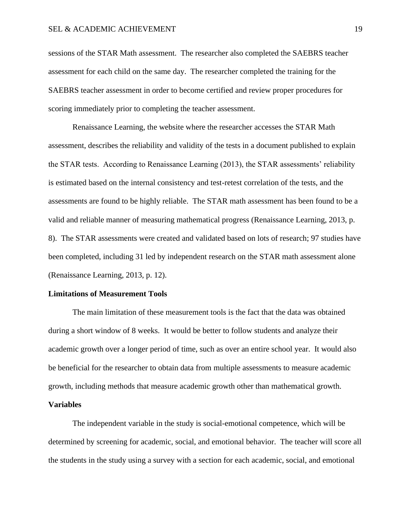sessions of the STAR Math assessment. The researcher also completed the SAEBRS teacher assessment for each child on the same day. The researcher completed the training for the SAEBRS teacher assessment in order to become certified and review proper procedures for scoring immediately prior to completing the teacher assessment.

Renaissance Learning, the website where the researcher accesses the STAR Math assessment, describes the reliability and validity of the tests in a document published to explain the STAR tests. According to Renaissance Learning (2013), the STAR assessments' reliability is estimated based on the internal consistency and test-retest correlation of the tests, and the assessments are found to be highly reliable. The STAR math assessment has been found to be a valid and reliable manner of measuring mathematical progress (Renaissance Learning, 2013, p. 8). The STAR assessments were created and validated based on lots of research; 97 studies have been completed, including 31 led by independent research on the STAR math assessment alone (Renaissance Learning, 2013, p. 12).

#### **Limitations of Measurement Tools**

The main limitation of these measurement tools is the fact that the data was obtained during a short window of 8 weeks. It would be better to follow students and analyze their academic growth over a longer period of time, such as over an entire school year. It would also be beneficial for the researcher to obtain data from multiple assessments to measure academic growth, including methods that measure academic growth other than mathematical growth.

# **Variables**

The independent variable in the study is social-emotional competence, which will be determined by screening for academic, social, and emotional behavior. The teacher will score all the students in the study using a survey with a section for each academic, social, and emotional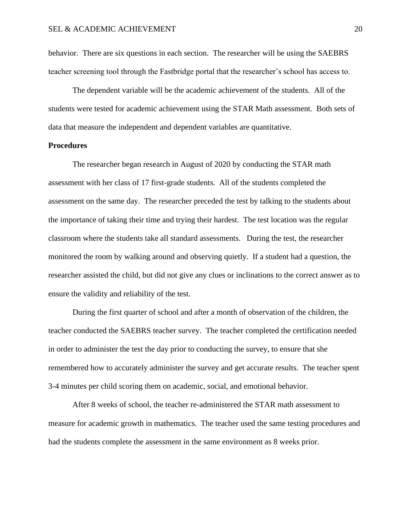behavior. There are six questions in each section. The researcher will be using the SAEBRS teacher screening tool through the Fastbridge portal that the researcher's school has access to.

The dependent variable will be the academic achievement of the students. All of the students were tested for academic achievement using the STAR Math assessment. Both sets of data that measure the independent and dependent variables are quantitative.

# **Procedures**

The researcher began research in August of 2020 by conducting the STAR math assessment with her class of 17 first-grade students. All of the students completed the assessment on the same day. The researcher preceded the test by talking to the students about the importance of taking their time and trying their hardest. The test location was the regular classroom where the students take all standard assessments. During the test, the researcher monitored the room by walking around and observing quietly. If a student had a question, the researcher assisted the child, but did not give any clues or inclinations to the correct answer as to ensure the validity and reliability of the test.

During the first quarter of school and after a month of observation of the children, the teacher conducted the SAEBRS teacher survey. The teacher completed the certification needed in order to administer the test the day prior to conducting the survey, to ensure that she remembered how to accurately administer the survey and get accurate results. The teacher spent 3-4 minutes per child scoring them on academic, social, and emotional behavior.

After 8 weeks of school, the teacher re-administered the STAR math assessment to measure for academic growth in mathematics. The teacher used the same testing procedures and had the students complete the assessment in the same environment as 8 weeks prior.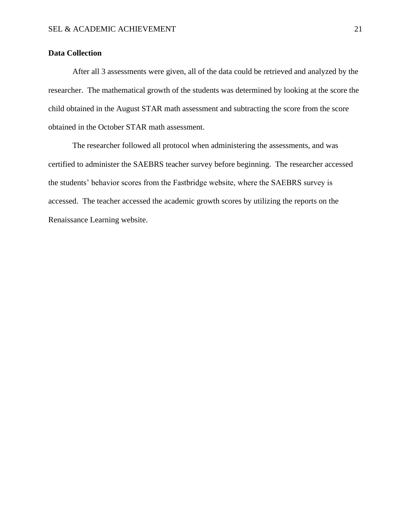# **Data Collection**

After all 3 assessments were given, all of the data could be retrieved and analyzed by the researcher. The mathematical growth of the students was determined by looking at the score the child obtained in the August STAR math assessment and subtracting the score from the score obtained in the October STAR math assessment.

The researcher followed all protocol when administering the assessments, and was certified to administer the SAEBRS teacher survey before beginning. The researcher accessed the students' behavior scores from the Fastbridge website, where the SAEBRS survey is accessed. The teacher accessed the academic growth scores by utilizing the reports on the Renaissance Learning website.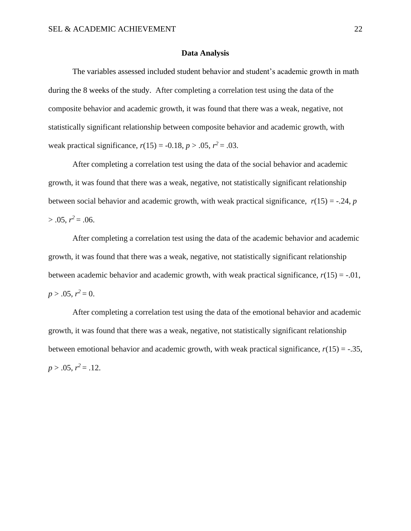# **Data Analysis**

The variables assessed included student behavior and student's academic growth in math during the 8 weeks of the study.After completing a correlation test using the data of the composite behavior and academic growth, it was found that there was a weak, negative, not statistically significant relationship between composite behavior and academic growth, with weak practical significance,  $r(15) = -0.18$ ,  $p > .05$ ,  $r^2 = .03$ .

After completing a correlation test using the data of the social behavior and academic growth, it was found that there was a weak, negative, not statistically significant relationship between social behavior and academic growth, with weak practical significance,  $r(15) = -.24$ , *p*  $> .05, r^2 = .06.$ 

After completing a correlation test using the data of the academic behavior and academic growth, it was found that there was a weak, negative, not statistically significant relationship between academic behavior and academic growth, with weak practical significance,  $r(15) = -0.01$ ,  $p > .05$ ,  $r^2 = 0$ .

After completing a correlation test using the data of the emotional behavior and academic growth, it was found that there was a weak, negative, not statistically significant relationship between emotional behavior and academic growth, with weak practical significance,  $r(15) = -.35$ ,  $p > .05$ ,  $r^2 = .12$ .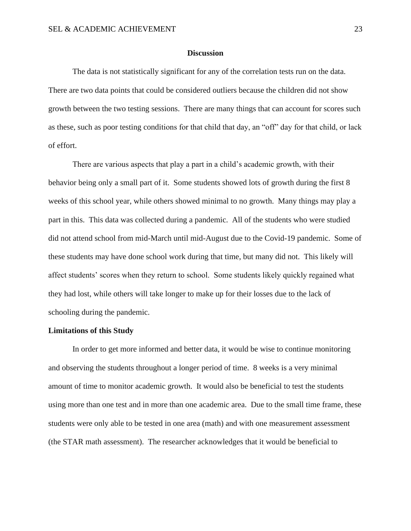### **Discussion**

The data is not statistically significant for any of the correlation tests run on the data. There are two data points that could be considered outliers because the children did not show growth between the two testing sessions. There are many things that can account for scores such as these, such as poor testing conditions for that child that day, an "off" day for that child, or lack of effort.

There are various aspects that play a part in a child's academic growth, with their behavior being only a small part of it. Some students showed lots of growth during the first 8 weeks of this school year, while others showed minimal to no growth. Many things may play a part in this. This data was collected during a pandemic. All of the students who were studied did not attend school from mid-March until mid-August due to the Covid-19 pandemic. Some of these students may have done school work during that time, but many did not. This likely will affect students' scores when they return to school. Some students likely quickly regained what they had lost, while others will take longer to make up for their losses due to the lack of schooling during the pandemic.

# **Limitations of this Study**

In order to get more informed and better data, it would be wise to continue monitoring and observing the students throughout a longer period of time. 8 weeks is a very minimal amount of time to monitor academic growth. It would also be beneficial to test the students using more than one test and in more than one academic area. Due to the small time frame, these students were only able to be tested in one area (math) and with one measurement assessment (the STAR math assessment). The researcher acknowledges that it would be beneficial to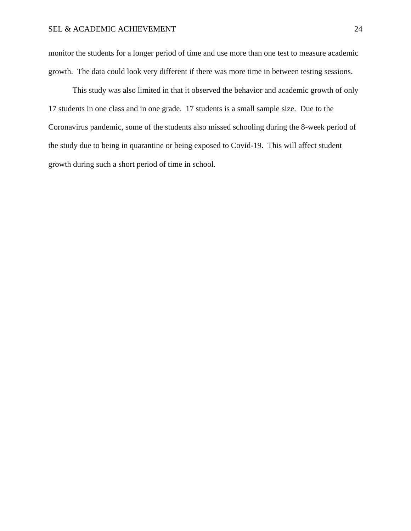monitor the students for a longer period of time and use more than one test to measure academic growth. The data could look very different if there was more time in between testing sessions.

This study was also limited in that it observed the behavior and academic growth of only 17 students in one class and in one grade. 17 students is a small sample size. Due to the Coronavirus pandemic, some of the students also missed schooling during the 8-week period of the study due to being in quarantine or being exposed to Covid-19. This will affect student growth during such a short period of time in school.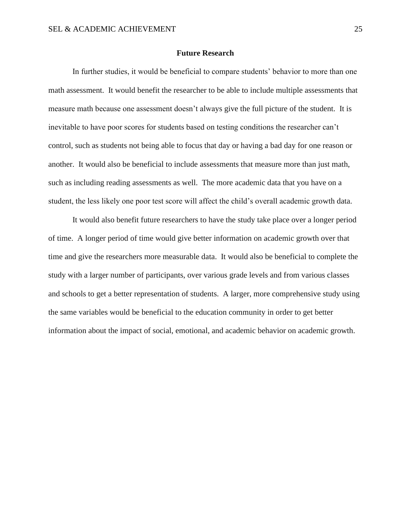### **Future Research**

In further studies, it would be beneficial to compare students' behavior to more than one math assessment. It would benefit the researcher to be able to include multiple assessments that measure math because one assessment doesn't always give the full picture of the student. It is inevitable to have poor scores for students based on testing conditions the researcher can't control, such as students not being able to focus that day or having a bad day for one reason or another. It would also be beneficial to include assessments that measure more than just math, such as including reading assessments as well. The more academic data that you have on a student, the less likely one poor test score will affect the child's overall academic growth data.

It would also benefit future researchers to have the study take place over a longer period of time. A longer period of time would give better information on academic growth over that time and give the researchers more measurable data. It would also be beneficial to complete the study with a larger number of participants, over various grade levels and from various classes and schools to get a better representation of students. A larger, more comprehensive study using the same variables would be beneficial to the education community in order to get better information about the impact of social, emotional, and academic behavior on academic growth.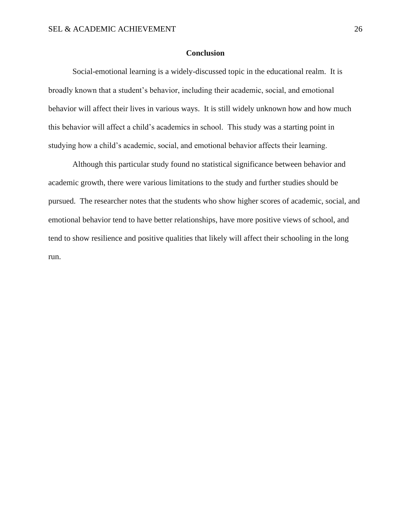# **Conclusion**

Social-emotional learning is a widely-discussed topic in the educational realm. It is broadly known that a student's behavior, including their academic, social, and emotional behavior will affect their lives in various ways. It is still widely unknown how and how much this behavior will affect a child's academics in school. This study was a starting point in studying how a child's academic, social, and emotional behavior affects their learning.

Although this particular study found no statistical significance between behavior and academic growth, there were various limitations to the study and further studies should be pursued. The researcher notes that the students who show higher scores of academic, social, and emotional behavior tend to have better relationships, have more positive views of school, and tend to show resilience and positive qualities that likely will affect their schooling in the long run.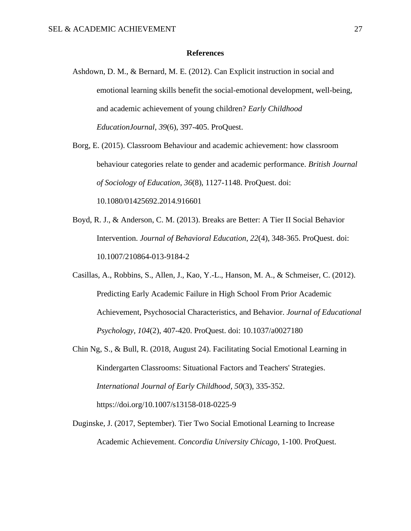# **References**

- Ashdown, D. M., & Bernard, M. E. (2012). Can Explicit instruction in social and emotional learning skills benefit the social-emotional development, well-being, and academic achievement of young children? *Early Childhood EducationJournal*, *39*(6), 397-405. ProQuest.
- Borg, E. (2015). Classroom Behaviour and academic achievement: how classroom behaviour categories relate to gender and academic performance. *British Journal of Sociology of Education*, *36*(8), 1127-1148. ProQuest. doi: 10.1080/01425692.2014.916601
- Boyd, R. J., & Anderson, C. M. (2013). Breaks are Better: A Tier II Social Behavior Intervention. *Journal of Behavioral Education*, *22*(4), 348-365. ProQuest. doi: 10.1007/210864-013-9184-2
- Casillas, A., Robbins, S., Allen, J., Kao, Y.-L., Hanson, M. A., & Schmeiser, C. (2012). Predicting Early Academic Failure in High School From Prior Academic Achievement, Psychosocial Characteristics, and Behavior. *Journal of Educational Psychology*, *104*(2), 407-420. ProQuest. doi: 10.1037/a0027180
- Chin Ng, S., & Bull, R. (2018, August 24). Facilitating Social Emotional Learning in Kindergarten Classrooms: Situational Factors and Teachers' Strategies. *International Journal of Early Childhood*, *50*(3), 335-352. https://doi.org/10.1007/s13158-018-0225-9
- Duginske, J. (2017, September). Tier Two Social Emotional Learning to Increase Academic Achievement. *Concordia University Chicago*, 1-100. ProQuest.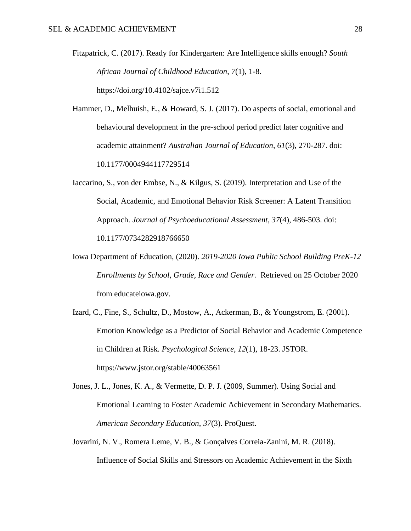Fitzpatrick, C. (2017). Ready for Kindergarten: Are Intelligence skills enough? *South African Journal of Childhood Education*, *7*(1), 1-8. https://doi.org/10.4102/sajce.v7i1.512

Hammer, D., Melhuish, E., & Howard, S. J. (2017). Do aspects of social, emotional and behavioural development in the pre-school period predict later cognitive and academic attainment? *Australian Journal of Education*, *61*(3), 270-287. doi: 10.1177/0004944117729514

Iaccarino, S., von der Embse, N., & Kilgus, S. (2019). Interpretation and Use of the Social, Academic, and Emotional Behavior Risk Screener: A Latent Transition Approach. *Journal of Psychoeducational Assessment*, *37*(4), 486-503. doi: 10.1177/0734282918766650

Iowa Department of Education, (2020). *2019-2020 Iowa Public School Building PreK-12 Enrollments by School, Grade, Race and Gender.* Retrieved on 25 October 2020 from educateiowa.gov.

Izard, C., Fine, S., Schultz, D., Mostow, A., Ackerman, B., & Youngstrom, E. (2001). Emotion Knowledge as a Predictor of Social Behavior and Academic Competence in Children at Risk. *Psychological Science*, *12*(1), 18-23. JSTOR. https://www.jstor.org/stable/40063561

Jones, J. L., Jones, K. A., & Vermette, D. P. J. (2009, Summer). Using Social and Emotional Learning to Foster Academic Achievement in Secondary Mathematics. *American Secondary Education*, *37*(3). ProQuest.

Jovarini, N. V., Romera Leme, V. B., & Gonçalves Correia-Zanini, M. R. (2018). Influence of Social Skills and Stressors on Academic Achievement in the Sixth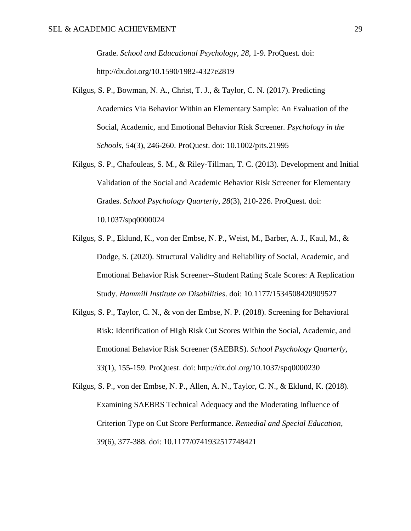Grade. *School and Educational Psychology*, *28*, 1-9. ProQuest. doi: http://dx.doi.org/10.1590/1982-4327e2819

- Kilgus, S. P., Bowman, N. A., Christ, T. J., & Taylor, C. N. (2017). Predicting Academics Via Behavior Within an Elementary Sample: An Evaluation of the Social, Academic, and Emotional Behavior Risk Screener. *Psychology in the Schools*, *54*(3), 246-260. ProQuest. doi: 10.1002/pits.21995
- Kilgus, S. P., Chafouleas, S. M., & Riley-Tillman, T. C. (2013). Development and Initial Validation of the Social and Academic Behavior Risk Screener for Elementary Grades. *School Psychology Quarterly*, *28*(3), 210-226. ProQuest. doi: 10.1037/spq0000024
- Kilgus, S. P., Eklund, K., von der Embse, N. P., Weist, M., Barber, A. J., Kaul, M., & Dodge, S. (2020). Structural Validity and Reliability of Social, Academic, and Emotional Behavior Risk Screener--Student Rating Scale Scores: A Replication Study. *Hammill Institute on Disabilities*. doi: 10.1177/1534508420909527
- Kilgus, S. P., Taylor, C. N., & von der Embse, N. P. (2018). Screening for Behavioral Risk: Identification of HIgh Risk Cut Scores Within the Social, Academic, and Emotional Behavior Risk Screener (SAEBRS). *School Psychology Quarterly*, *33*(1), 155-159. ProQuest. doi: http://dx.doi.org/10.1037/spq0000230

Kilgus, S. P., von der Embse, N. P., Allen, A. N., Taylor, C. N., & Eklund, K. (2018). Examining SAEBRS Technical Adequacy and the Moderating Influence of Criterion Type on Cut Score Performance. *Remedial and Special Education*, *39*(6), 377-388. doi: 10.1177/0741932517748421